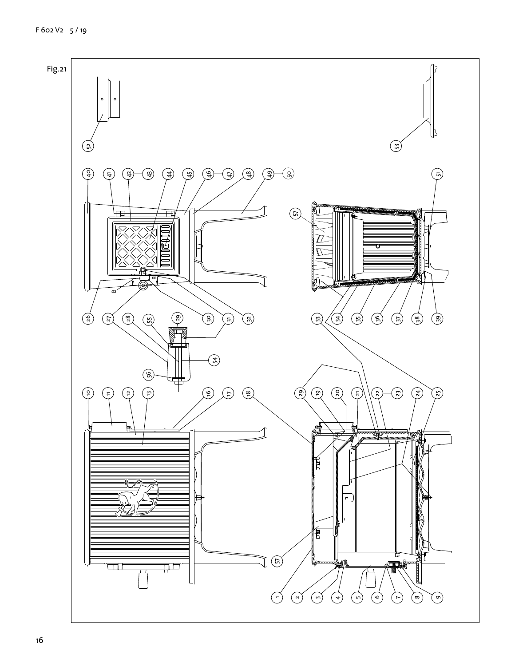